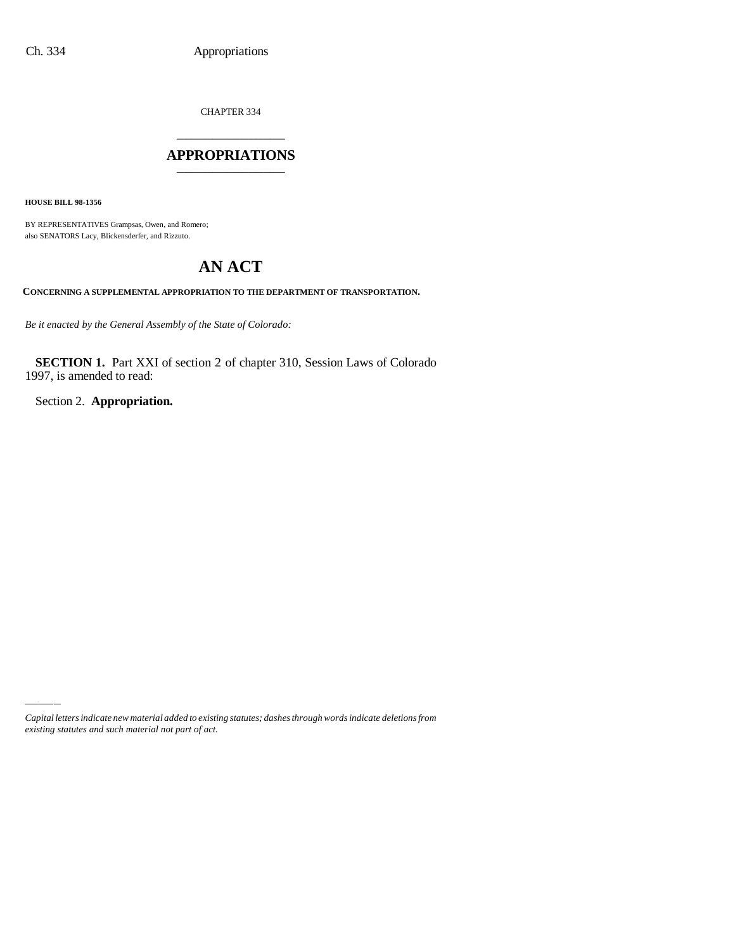CHAPTER 334

## \_\_\_\_\_\_\_\_\_\_\_\_\_\_\_ **APPROPRIATIONS** \_\_\_\_\_\_\_\_\_\_\_\_\_\_\_

**HOUSE BILL 98-1356**

BY REPRESENTATIVES Grampsas, Owen, and Romero; also SENATORS Lacy, Blickensderfer, and Rizzuto.

# **AN ACT**

**CONCERNING A SUPPLEMENTAL APPROPRIATION TO THE DEPARTMENT OF TRANSPORTATION.**

*Be it enacted by the General Assembly of the State of Colorado:*

**SECTION 1.** Part XXI of section 2 of chapter 310, Session Laws of Colorado 1997, is amended to read:

Section 2. **Appropriation.**

*Capital letters indicate new material added to existing statutes; dashes through words indicate deletions from existing statutes and such material not part of act.*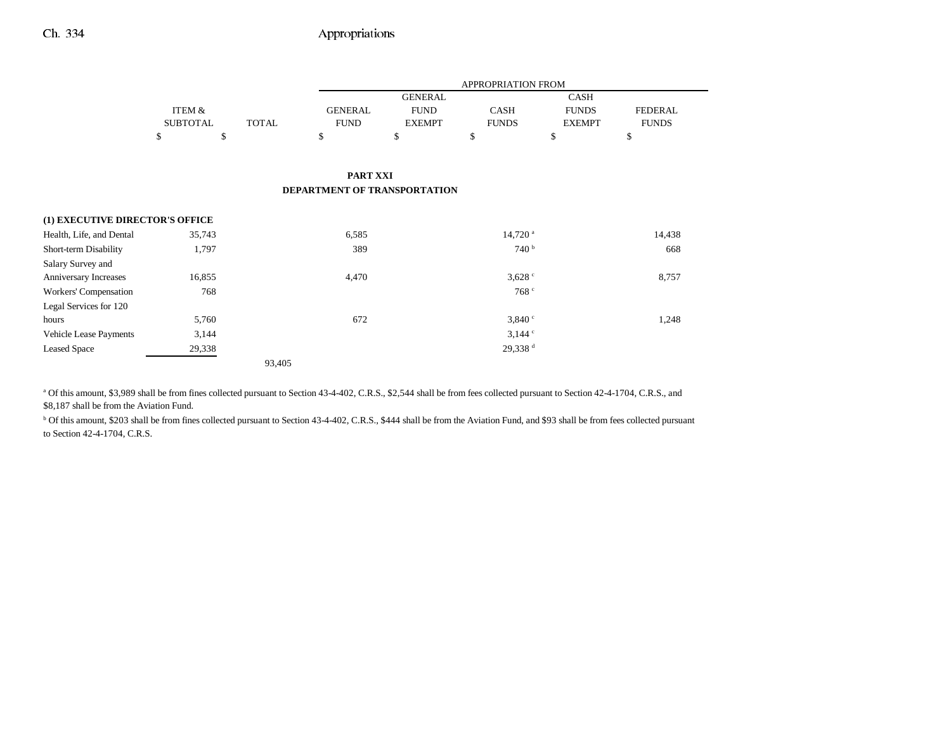## Ch. 334 Appropriations

|                                 |                 |              | APPROPRIATION FROM           |                |                       |               |                |  |
|---------------------------------|-----------------|--------------|------------------------------|----------------|-----------------------|---------------|----------------|--|
|                                 |                 |              |                              | <b>GENERAL</b> |                       | <b>CASH</b>   |                |  |
|                                 | ITEM &          |              | <b>GENERAL</b>               | <b>FUND</b>    | <b>CASH</b>           | <b>FUNDS</b>  | <b>FEDERAL</b> |  |
|                                 | <b>SUBTOTAL</b> | <b>TOTAL</b> | <b>FUND</b>                  | <b>EXEMPT</b>  | <b>FUNDS</b>          | <b>EXEMPT</b> | <b>FUNDS</b>   |  |
|                                 | \$<br>\$        |              | \$                           | \$             | \$                    | \$            | \$             |  |
|                                 |                 |              |                              |                |                       |               |                |  |
|                                 |                 |              | <b>PART XXI</b>              |                |                       |               |                |  |
|                                 |                 |              | DEPARTMENT OF TRANSPORTATION |                |                       |               |                |  |
|                                 |                 |              |                              |                |                       |               |                |  |
| (1) EXECUTIVE DIRECTOR'S OFFICE |                 |              |                              |                |                       |               |                |  |
| Health, Life, and Dental        | 35,743          |              | 6,585                        |                | $14,720$ <sup>a</sup> |               | 14,438         |  |
| Short-term Disability           | 1,797           |              | 389                          |                | 740 <sup>b</sup>      |               | 668            |  |
| Salary Survey and               |                 |              |                              |                |                       |               |                |  |
| Anniversary Increases           | 16,855          |              | 4,470                        |                | $3,628$ $\degree$     |               | 8,757          |  |
| Workers' Compensation           | 768             |              |                              |                | 768 c                 |               |                |  |
| Legal Services for 120          |                 |              |                              |                |                       |               |                |  |
| hours                           | 5,760           |              | 672                          |                | 3,840°                |               | 1,248          |  |
| Vehicle Lease Payments          | 3,144           |              |                              |                | $3,144$ $\degree$     |               |                |  |
| <b>Leased Space</b>             | 29,338          |              |                              |                | 29,338 <sup>d</sup>   |               |                |  |
|                                 |                 | 93,405       |                              |                |                       |               |                |  |

a Of this amount, \$3,989 shall be from fines collected pursuant to Section 43-4-402, C.R.S., \$2,544 shall be from fees collected pursuant to Section 42-4-1704, C.R.S., and \$8,187 shall be from the Aviation Fund.

<sup>b</sup> Of this amount, \$203 shall be from fines collected pursuant to Section 43-4-402, C.R.S., \$444 shall be from the Aviation Fund, and \$93 shall be from fees collected pursuant to Section 42-4-1704, C.R.S.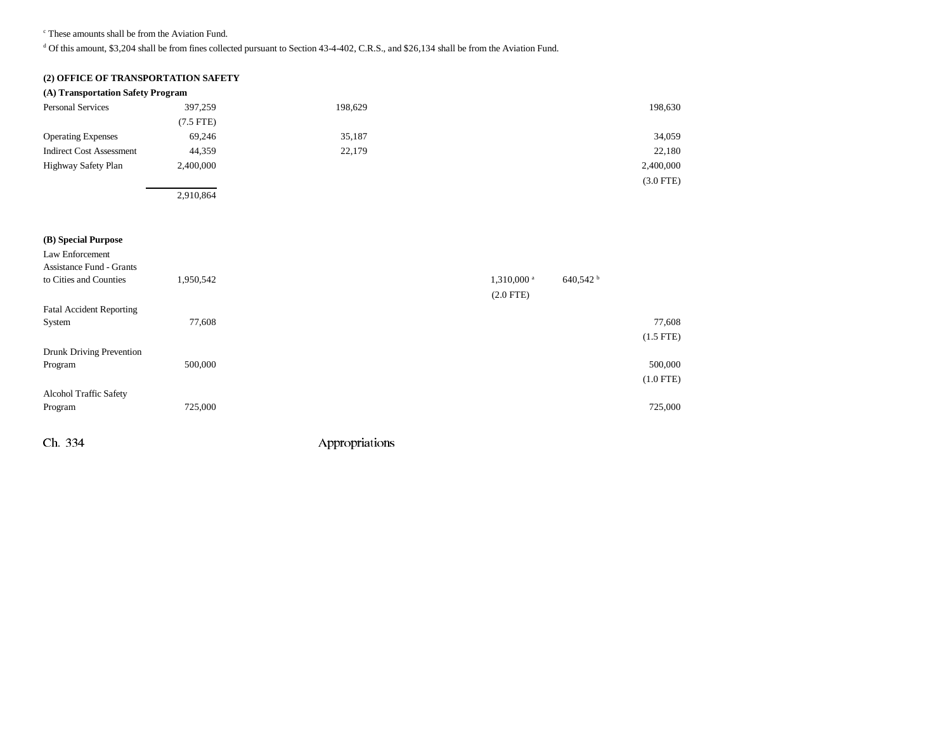c These amounts shall be from the Aviation Fund.

 $d$  Of this amount, \$3,204 shall be from fines collected pursuant to Section 43-4-402, C.R.S., and \$26,134 shall be from the Aviation Fund.

#### **(2) OFFICE OF TRANSPORTATION SAFETY**

|  |  |  |  | (A) Transportation Safety Program |
|--|--|--|--|-----------------------------------|
|--|--|--|--|-----------------------------------|

| Personal Services               | 397,259        | 198,629 | 198,630     |
|---------------------------------|----------------|---------|-------------|
|                                 | $(7.5$ FTE $)$ |         |             |
| <b>Operating Expenses</b>       | 69,246         | 35,187  | 34,059      |
| <b>Indirect Cost Assessment</b> | 44,359         | 22,179  | 22,180      |
| Highway Safety Plan             | 2,400,000      |         | 2,400,000   |
|                                 |                |         | $(3.0$ FTE) |
|                                 | 2,910,864      |         |             |

| 640,542 <sup>b</sup><br>1,310,000 <sup>a</sup> |
|------------------------------------------------|
| $(2.0$ FTE)                                    |
|                                                |
| 77,608                                         |
| $(1.5$ FTE)                                    |
|                                                |
| 500,000                                        |
| $(1.0$ FTE)                                    |
|                                                |
| 725,000                                        |
|                                                |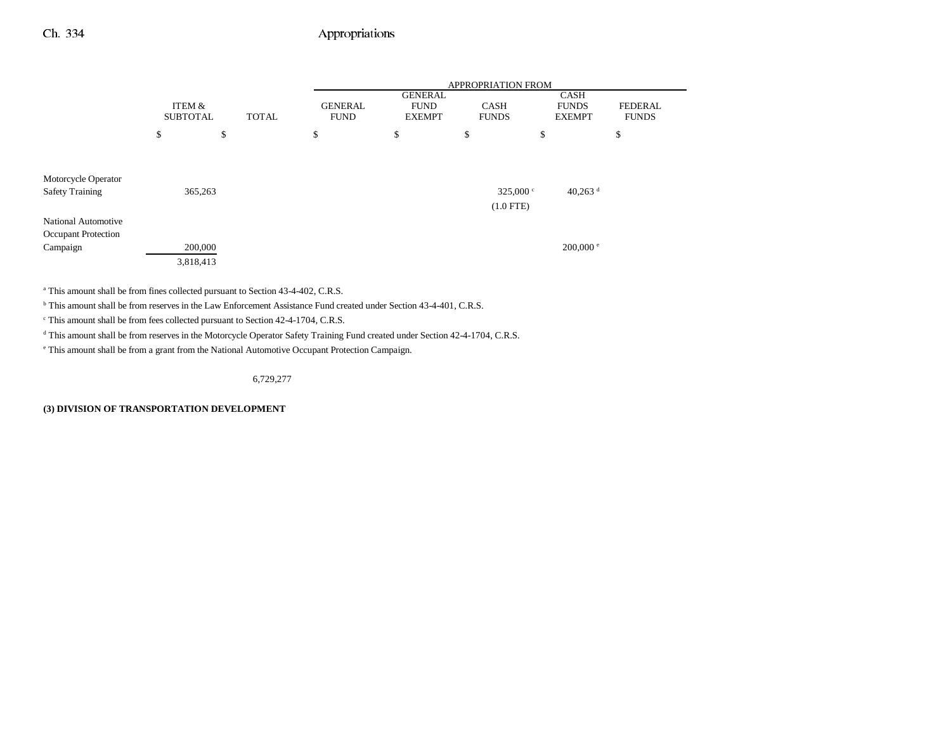### Ch. 334 Appropriations

|                        | ITEM &<br><b>SUBTOTAL</b><br><b>TOTAL</b> |    | <b>APPROPRIATION FROM</b> |                               |                                                |                             |    |                                              |                                |
|------------------------|-------------------------------------------|----|---------------------------|-------------------------------|------------------------------------------------|-----------------------------|----|----------------------------------------------|--------------------------------|
|                        |                                           |    |                           | <b>GENERAL</b><br><b>FUND</b> | <b>GENERAL</b><br><b>FUND</b><br><b>EXEMPT</b> | <b>CASH</b><br><b>FUNDS</b> |    | <b>CASH</b><br><b>FUNDS</b><br><b>EXEMPT</b> | <b>FEDERAL</b><br><b>FUNDS</b> |
|                        | \$                                        | \$ |                           | \$                            | \$                                             | \$                          | \$ |                                              | \$                             |
|                        |                                           |    |                           |                               |                                                |                             |    |                                              |                                |
| Motorcycle Operator    |                                           |    |                           |                               |                                                |                             |    |                                              |                                |
| <b>Safety Training</b> | 365,263                                   |    |                           |                               |                                                | 325,000 $^{\circ}$          |    | 40,263 $^{\rm d}$                            |                                |
|                        |                                           |    |                           |                               |                                                | $(1.0$ FTE)                 |    |                                              |                                |
| National Automotive    |                                           |    |                           |                               |                                                |                             |    |                                              |                                |
| Occupant Protection    |                                           |    |                           |                               |                                                |                             |    |                                              |                                |
| Campaign               | 200,000                                   |    |                           |                               |                                                |                             |    | $200,000$ e                                  |                                |
|                        | 3,818,413                                 |    |                           |                               |                                                |                             |    |                                              |                                |

<sup>a</sup> This amount shall be from fines collected pursuant to Section 43-4-402, C.R.S.

b This amount shall be from reserves in the Law Enforcement Assistance Fund created under Section 43-4-401, C.R.S.

c This amount shall be from fees collected pursuant to Section 42-4-1704, C.R.S.

<sup>d</sup> This amount shall be from reserves in the Motorcycle Operator Safety Training Fund created under Section 42-4-1704, C.R.S.

e This amount shall be from a grant from the National Automotive Occupant Protection Campaign.

6,729,277

**(3) DIVISION OF TRANSPORTATION DEVELOPMENT**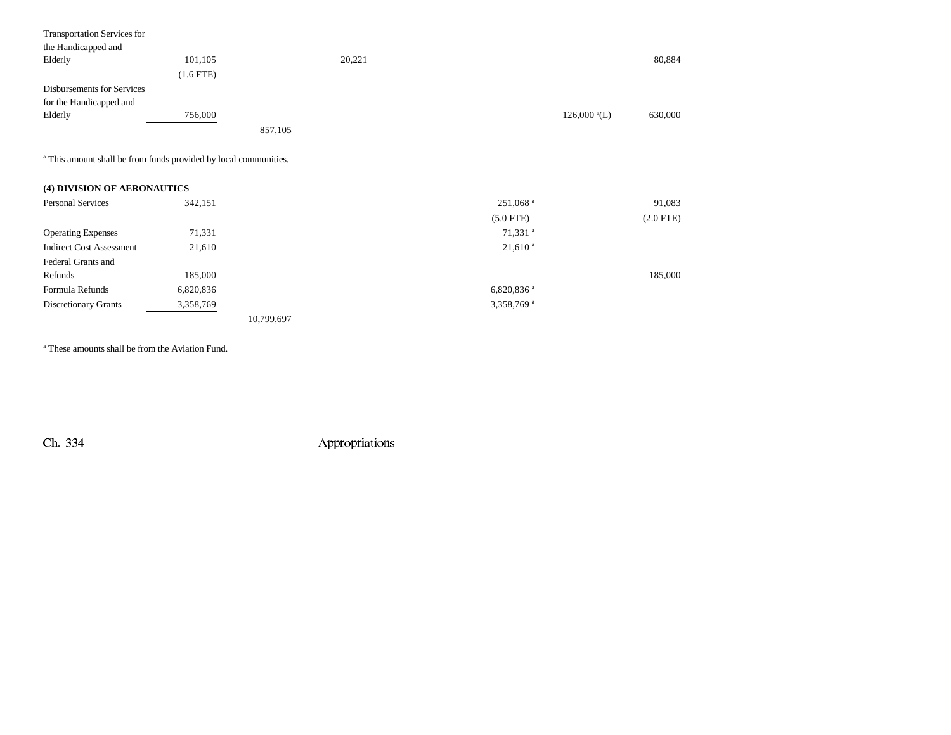| <b>Transportation Services for</b><br>the Handicapped and<br>Elderly | 101,105<br>$(1.6$ FTE) |         | 20,221 |                                | 80,884  |
|----------------------------------------------------------------------|------------------------|---------|--------|--------------------------------|---------|
| Disbursements for Services<br>for the Handicapped and<br>Elderly     | 756,000                | 857,105 |        | $126,000 \text{ }^{\circ}$ (L) | 630,000 |

a This amount shall be from funds provided by local communities.

| (4) DIVISION OF AERONAUTICS |  |
|-----------------------------|--|
|-----------------------------|--|

| <b>Personal Services</b>        | 342,151   |            | $251,068$ <sup>a</sup>   | 91,083      |
|---------------------------------|-----------|------------|--------------------------|-------------|
|                                 |           |            | $(5.0$ FTE)              | $(2.0$ FTE) |
| <b>Operating Expenses</b>       | 71,331    |            | 71,331 <sup>a</sup>      |             |
| <b>Indirect Cost Assessment</b> | 21,610    |            | $21,610^{a}$             |             |
| Federal Grants and              |           |            |                          |             |
| Refunds                         | 185,000   |            |                          | 185,000     |
| Formula Refunds                 | 6,820,836 |            | $6,820,836$ <sup>a</sup> |             |
| Discretionary Grants            | 3,358,769 |            | 3,358,769 <sup>a</sup>   |             |
|                                 |           | 10,799,697 |                          |             |

a These amounts shall be from the Aviation Fund.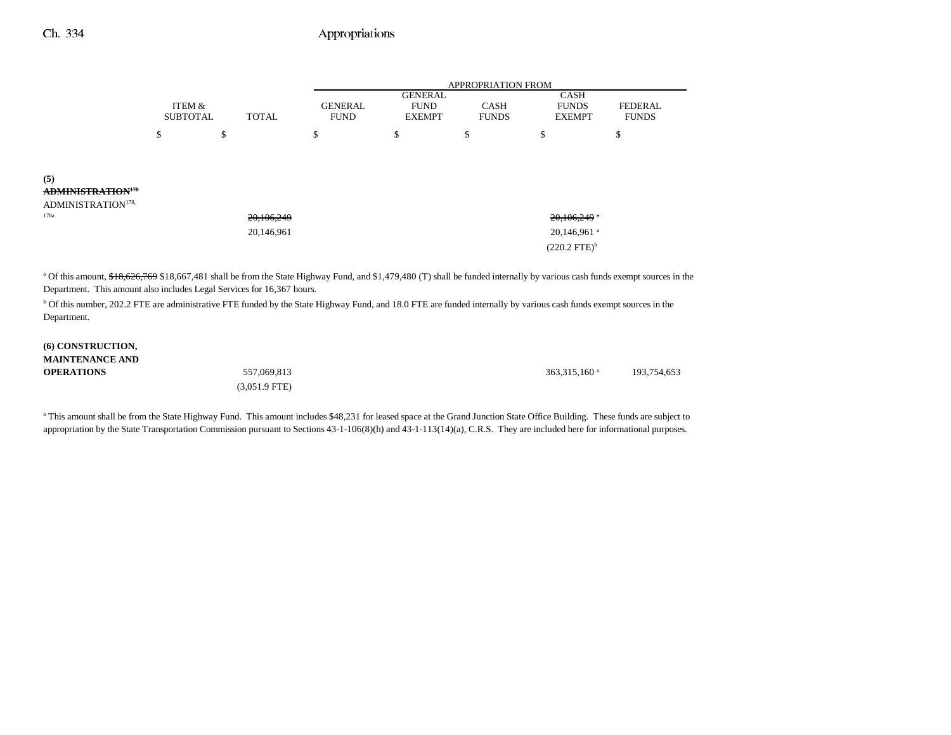### Ch. 334 Appropriations

|                                      |                           |              |                               | APPROPRIATION FROM                             |                             |                                              |                                |
|--------------------------------------|---------------------------|--------------|-------------------------------|------------------------------------------------|-----------------------------|----------------------------------------------|--------------------------------|
|                                      | ITEM &<br><b>SUBTOTAL</b> | <b>TOTAL</b> | <b>GENERAL</b><br><b>FUND</b> | <b>GENERAL</b><br><b>FUND</b><br><b>EXEMPT</b> | <b>CASH</b><br><b>FUNDS</b> | <b>CASH</b><br><b>FUNDS</b><br><b>EXEMPT</b> | <b>FEDERAL</b><br><b>FUNDS</b> |
|                                      | \$                        | \$           | \$                            | \$                                             | \$                          | \$                                           | ¢<br>Ф                         |
|                                      |                           |              |                               |                                                |                             |                                              |                                |
| (5)<br>ADMINISTRATION <sup>178</sup> |                           |              |                               |                                                |                             |                                              |                                |
| ADMINISTRATION <sup>178,</sup>       |                           |              |                               |                                                |                             |                                              |                                |
| 178a                                 |                           | 20,106,249   |                               |                                                |                             | $20,106,249$ *                               |                                |
|                                      |                           | 20,146,961   |                               |                                                |                             | 20,146,961 <sup>a</sup>                      |                                |
|                                      |                           |              |                               |                                                |                             | $(220.2$ FTE $)^{\rm b}$                     |                                |

<sup>a</sup> Of this amount, \$18,626,769 \$18,667,481 shall be from the State Highway Fund, and \$1,479,480 (T) shall be funded internally by various cash funds exempt sources in the Department. This amount also includes Legal Services for 16,367 hours.

<sup>b</sup> Of this number, 202.2 FTE are administrative FTE funded by the State Highway Fund, and 18.0 FTE are funded internally by various cash funds exempt sources in the Department.

#### **(6) CONSTRUCTION, MAINTENANCE ANDOPERATIONS**

(3,051.9 FTE)

**S**  $557,069,813$   $557,069,813$   $363,315,160$   $193,754,653$ 

<sup>a</sup> This amount shall be from the State Highway Fund. This amount includes \$48,231 for leased space at the Grand Junction State Office Building. These funds are subject to appropriation by the State Transportation Commission pursuant to Sections 43-1-106(8)(h) and 43-1-113(14)(a), C.R.S. They are included here for informational purposes.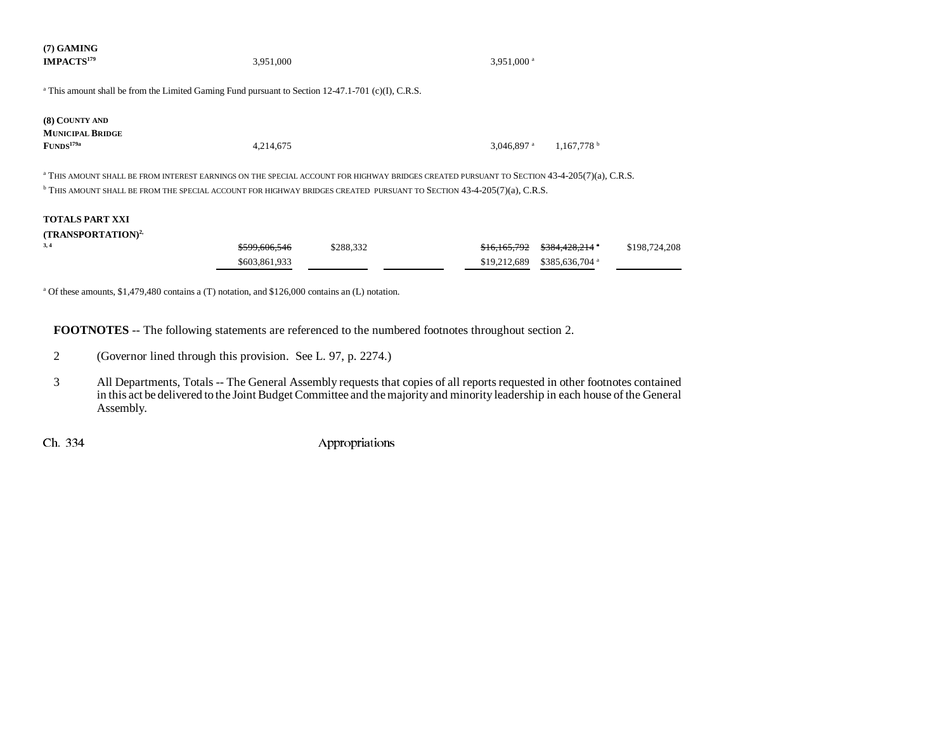| $(7)$ GAMING<br><b>IMPACTS<sup>179</sup></b>                                                                                                                                                                                                                                                | 3,951,000                                 |           | 3,951,000 <sup>a</sup>       |                                               |               |
|---------------------------------------------------------------------------------------------------------------------------------------------------------------------------------------------------------------------------------------------------------------------------------------------|-------------------------------------------|-----------|------------------------------|-----------------------------------------------|---------------|
| <sup>a</sup> This amount shall be from the Limited Gaming Fund pursuant to Section 12-47.1-701 (c)(I), C.R.S.                                                                                                                                                                               |                                           |           |                              |                                               |               |
| (8) COUNTY AND<br><b>MUNICIPAL BRIDGE</b><br>FUNDS <sup>179a</sup>                                                                                                                                                                                                                          | 4,214,675                                 |           | $3.046.897$ <sup>a</sup>     | 1.167.778 <sup>b</sup>                        |               |
| <sup>a</sup> THIS AMOUNT SHALL BE FROM INTEREST EARNINGS ON THE SPECIAL ACCOUNT FOR HIGHWAY BRIDGES CREATED PURSUANT TO SECTION 43-4-205(7)(a), C.R.S.<br><sup>b</sup> THIS AMOUNT SHALL BE FROM THE SPECIAL ACCOUNT FOR HIGHWAY BRIDGES CREATED PURSUANT TO SECTION 43-4-205(7)(a), C.R.S. |                                           |           |                              |                                               |               |
| <b>TOTALS PART XXI</b><br>(TRANSPORTATION) <sup>2,</sup><br>3, 4                                                                                                                                                                                                                            | <del>\$599.606.546</del><br>\$603,861,933 | \$288,332 | \$16,165,792<br>\$19,212,689 | \$384,428,214 a<br>\$385,636,704 <sup>a</sup> | \$198,724,208 |

<sup>a</sup> Of these amounts, \$1,479,480 contains a (T) notation, and \$126,000 contains an (L) notation.

**FOOTNOTES** -- The following statements are referenced to the numbered footnotes throughout section 2.

- 2 (Governor lined through this provision. See L. 97, p. 2274.)
- 3 All Departments, Totals -- The General Assembly requests that copies of all reports requested in other footnotes contained in this act be delivered to the Joint Budget Committee and the majority and minority leadership in each house of the General Assembly.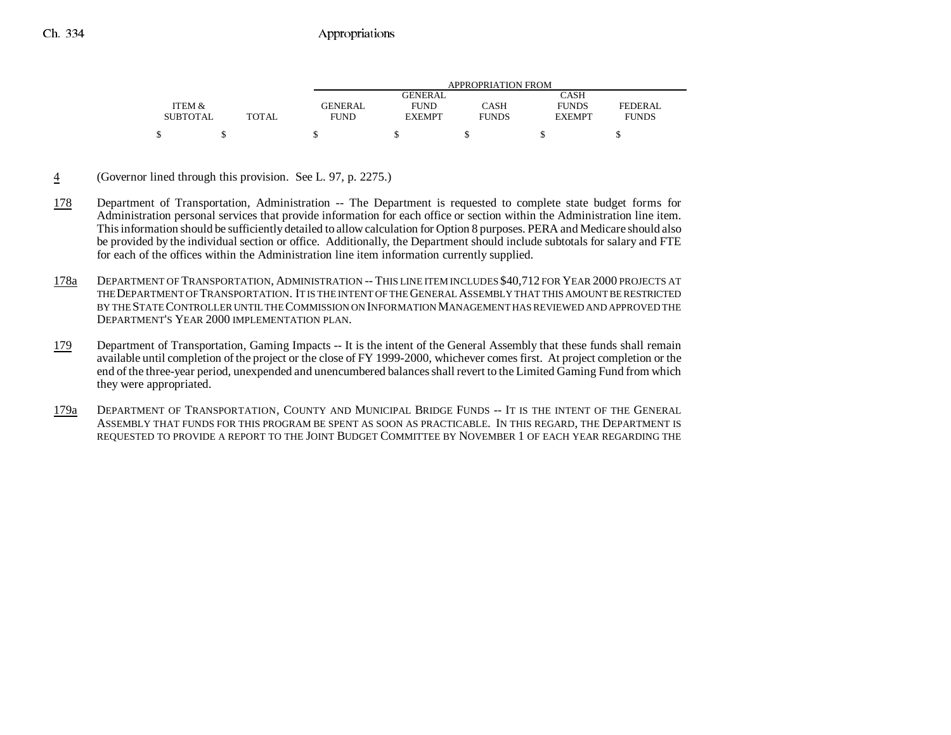|                 |       |             | APPROPRIATION FROM |              |               |              |  |  |
|-----------------|-------|-------------|--------------------|--------------|---------------|--------------|--|--|
|                 |       |             | GENERAL            |              | CASH          |              |  |  |
| ITEM &          |       | GENERAL     | <b>FUND</b>        | CASH         | <b>FUNDS</b>  | FEDERAL      |  |  |
| <b>SUBTOTAL</b> | TOTAL | <b>FUND</b> | <b>EXEMPT</b>      | <b>FUNDS</b> | <b>EXEMPT</b> | <b>FUNDS</b> |  |  |
|                 |       |             |                    |              |               |              |  |  |

- 4(Governor lined through this provision. See L. 97, p. 2275.)
- 178 Department of Transportation, Administration -- The Department is requested to complete state budget forms for Administration personal services that provide information for each office or section within the Administration line item. This information should be sufficiently detailed to allow calculation for Option 8 purposes. PERA and Medicare should also be provided by the individual section or office. Additionally, the Department should include subtotals for salary and FTE for each of the offices within the Administration line item information currently supplied.
- 178a DEPARTMENT OF TRANSPORTATION, ADMINISTRATION -- THIS LINE ITEM INCLUDES \$40,712 FOR YEAR 2000 PROJECTS AT THE DEPARTMENT OF TRANSPORTATION. IT IS THE INTENT OF THE GENERAL ASSEMBLY THAT THIS AMOUNT BE RESTRICTEDBY THE STATE CONTROLLER UNTIL THE COMMISSION ON INFORMATION MANAGEMENT HAS REVIEWED AND APPROVED THE DEPARTMENT'S YEAR 2000 IMPLEMENTATION PLAN.
- 179 Department of Transportation, Gaming Impacts -- It is the intent of the General Assembly that these funds shall remain available until completion of the project or the close of FY 1999-2000, whichever comes first. At project completion or the end of the three-year period, unexpended and unencumbered balances shall revert to the Limited Gaming Fund from which they were appropriated.
- 179a DEPARTMENT OF TRANSPORTATION, COUNTY AND MUNICIPAL BRIDGE FUNDS -- IT IS THE INTENT OF THE GENERAL ASSEMBLY THAT FUNDS FOR THIS PROGRAM BE SPENT AS SOON AS PRACTICABLE. IN THIS REGARD, THE DEPARTMENT IS REQUESTED TO PROVIDE A REPORT TO THE JOINT BUDGET COMMITTEE BY NOVEMBER 1 OF EACH YEAR REGARDING THE